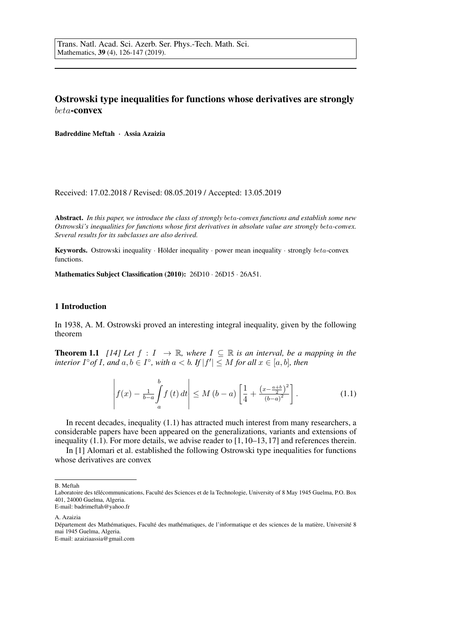# Ostrowski type inequalities for functions whose derivatives are strongly beta-convex

Badreddine Meftah · Assia Azaizia

Received: 17.02.2018 / Revised: 08.05.2019 / Accepted: 13.05.2019

Abstract. *In this paper, we introduce the class of strongly* beta*-convex functions and establish some new Ostrowski's inequalities for functions whose first derivatives in absolute value are strongly* beta*-convex. Several results for its subclasses are also derived.*

Keywords. Ostrowski inequality  $\cdot$  Hölder inequality  $\cdot$  power mean inequality  $\cdot$  strongly beta-convex functions.

Mathematics Subject Classification (2010): 26D10 · 26D15 · 26A51.

## 1 Introduction

In 1938, A. M. Ostrowski proved an interesting integral inequality, given by the following theorem

**Theorem 1.1** *[14] Let*  $f : I \rightarrow \mathbb{R}$ *, where*  $I \subseteq \mathbb{R}$  *is an interval, be a mapping in the interior*  $I^{\circ}$ *of*  $I$ *, and*  $a, b \in I^{\circ}$ *, with*  $a < b$ *. If*  $|f'| \leq M$  *for all*  $x \in [a, b]$ *, then* 

$$
\left| f(x) - \frac{1}{b-a} \int_{a}^{b} f(t) dt \right| \le M (b-a) \left[ \frac{1}{4} + \frac{\left(x - \frac{a+b}{2}\right)^{2}}{(b-a)^{2}} \right].
$$
 (1.1)

In recent decades, inequality (1.1) has attracted much interest from many researchers, a considerable papers have been appeared on the generalizations, variants and extensions of inequality (1.1). For more details, we advise reader to  $[1, 10-13, 17]$  and references therein.

In [1] Alomari et al. established the following Ostrowski type inequalities for functions whose derivatives are convex

B. Meftah

Laboratoire des télécommunications, Faculté des Sciences et de la Technologie, University of 8 May 1945 Guelma, P.O. Box 401, 24000 Guelma, Algeria. E-mail: badrimeftah@yahoo.fr

A. Azaizia

Département des Mathématiques, Faculté des mathématiques, de l'informatique et des sciences de la matière, Université 8 mai 1945 Guelma, Algeria. E-mail: azaiziaassia@gmail.com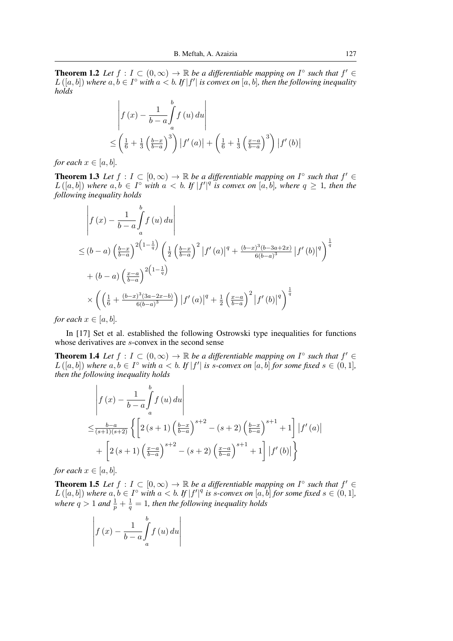**Theorem 1.2** Let  $f: I \subset (0, \infty) \to \mathbb{R}$  be a differentiable mapping on  $I^{\circ}$  such that  $f' \in$  $L([a, b])$  where  $a, b \in I^{\circ}$  with  $a < b$ . If  $|f'|$  is convex on  $[a, b]$ , then the following inequality *holds*

$$
\begin{aligned}\n\left| f(x) - \frac{1}{b-a} \int_a^b f(u) \, du \right| \\
\leq \left( \frac{1}{6} + \frac{1}{3} \left( \frac{b-x}{b-a} \right)^3 \right) \left| f'(a) \right| + \left( \frac{1}{6} + \frac{1}{3} \left( \frac{x-a}{b-a} \right)^3 \right) \left| f'(b) \right|.\n\end{aligned}
$$

*for each*  $x \in [a, b]$ *.* 

**Theorem 1.3** Let  $f: I \subset [0, \infty) \to \mathbb{R}$  be a differentiable mapping on  $I^{\circ}$  such that  $f' \in$  $L([a, b])$  where  $a, b \in I^{\circ}$  with  $a < b$ . If  $|f'|^q$  is convex on  $[a, b]$ , where  $q \geq 1$ , then the *following inequality holds*

$$
\begin{split}\n&\left| f(x) - \frac{1}{b-a} \int_{a}^{b} f(u) \, du \right| \\
&\leq (b-a) \left( \frac{b-x}{b-a} \right)^{2\left(1 - \frac{1}{q}\right)} \left( \frac{1}{2} \left( \frac{b-x}{b-a} \right)^2 \left| f'(a) \right|^q + \frac{(b-x)^3(b-3a+2x)}{6(b-a)^3} \left| f'(b) \right|^q \right)^{\frac{1}{q}} \\
&+ (b-a) \left( \frac{x-a}{b-a} \right)^{2\left(1 - \frac{1}{q}\right)} \\
&\times \left( \left( \frac{1}{6} + \frac{(b-x)^3(3a-2x-b)}{6(b-a)^3} \right) \left| f'(a) \right|^q + \frac{1}{2} \left( \frac{x-a}{b-a} \right)^2 \left| f'(b) \right|^q \right)^{\frac{1}{q}}\n\end{split}
$$

*for each*  $x \in [a, b]$ *.* 

 $\mathcal{L}$ 

In [17] Set et al. established the following Ostrowski type inequalities for functions whose derivatives are s-convex in the second sense

**Theorem 1.4** Let  $f: I \subset (0, \infty) \to \mathbb{R}$  be a differentiable mapping on  $I^{\circ}$  such that  $f' \in$  $L([a, b])$  where  $a, b \in I^{\circ}$  with  $a < b$ . If  $|f'|$  is *s*-convex on  $[a, b]$  for some fixed  $s \in (0, 1]$ , *then the following inequality holds*

$$
\begin{aligned}\n&\left| f(x) - \frac{1}{b-a} \int_{a}^{b} f(u) \, du \right| \\
&\leq \frac{b-a}{(s+1)(s+2)} \left\{ \left[ 2\left(s+1\right) \left( \frac{b-x}{b-a} \right)^{s+2} - \left(s+2\right) \left( \frac{b-x}{b-a} \right)^{s+1} + 1 \right] \left| f'(a) \right| \right. \\
&\left. + \left[ 2\left(s+1\right) \left( \frac{x-a}{b-a} \right)^{s+2} - \left(s+2\right) \left( \frac{x-a}{b-a} \right)^{s+1} + 1 \right] \left| f'(b) \right| \right\}\n\end{aligned}
$$

*for each*  $x \in [a, b]$ *.* 

**Theorem 1.5** Let  $f: I \subset [0, \infty) \to \mathbb{R}$  be a differentiable mapping on  $I^{\circ}$  such that  $f' \in$  $L([a, b])$  where  $a, b \in I^{\circ}$  with  $a < b$ . If  $|f'|^{q}$  is s-convex on  $[a, b]$  for some fixed  $s \in (0, 1]$ , *where*  $q > 1$  *and*  $\frac{1}{p} + \frac{1}{q}$  $\frac{1}{q} = 1$ , then the following inequality holds

$$
\left| f(x) - \frac{1}{b-a} \int_{a}^{b} f(u) \, du \right|
$$

 $\mathbf{r}$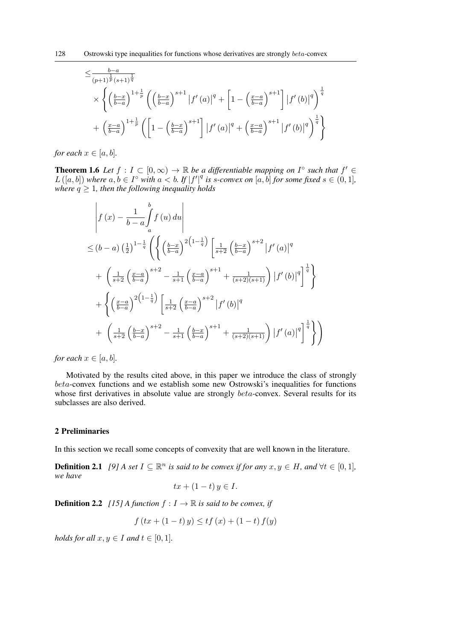$$
\leq \frac{b-a}{(p+1)^{\frac{1}{p}}(s+1)^{\frac{1}{q}}}\times \left\{ \left(\frac{b-x}{b-a}\right)^{1+\frac{1}{p}} \left(\left(\frac{b-x}{b-a}\right)^{s+1} |f'(a)|^{q} + \left[1 - \left(\frac{x-a}{b-a}\right)^{s+1}\right] |f'(b)|^{q}\right)^{\frac{1}{q}} + \left(\frac{x-a}{b-a}\right)^{1+\frac{1}{p}} \left(\left[1 - \left(\frac{b-x}{b-a}\right)^{s+1}\right] |f'(a)|^{q} + \left(\frac{x-a}{b-a}\right)^{s+1} |f'(b)|^{q}\right)^{\frac{1}{q}} \right\}
$$

*for each*  $x \in [a, b]$ *.* 

**Theorem 1.6** Let  $f: I \subset [0, \infty) \to \mathbb{R}$  be a differentiable mapping on  $I^{\circ}$  such that  $f' \in$  $L([a, b])$  where  $a, b \in I^{\circ}$  with  $a < b$ . If  $|f'|^{q}$  is s-convex on  $[a, b]$  for some fixed  $s \in (0, 1]$ , *where*  $q \geq 1$ *, then the following inequality holds* 

$$
\begin{split}\n&\left|f\left(x\right)-\frac{1}{b-a}\int_{a}^{b}f\left(u\right)du\right| \\
&\leq(b-a)\left(\frac{1}{2}\right)^{1-\frac{1}{q}}\left(\left\{\left(\frac{b-x}{b-a}\right)^{2\left(1-\frac{1}{q}\right)}\left[\frac{1}{s+2}\left(\frac{b-x}{b-a}\right)^{s+2}\left|f'\left(a\right)\right|^{q}\right.\right.\\&\left.+\left.\left(\frac{1}{s+2}\left(\frac{x-a}{b-a}\right)^{s+2}-\frac{1}{s+1}\left(\frac{x-a}{b-a}\right)^{s+1}+\frac{1}{(s+2)(s+1)}\right)\left|f'\left(b\right)\right|^{q}\right]^{\frac{1}{q}}\right\} \\
&+\left\{\left(\frac{x-a}{b-a}\right)^{2\left(1-\frac{1}{q}\right)}\left[\frac{1}{s+2}\left(\frac{x-a}{b-a}\right)^{s+2}\left|f'\left(b\right)\right|^{q}\right.\right.\\&\left.\left.+\left.\left(\frac{1}{s+2}\left(\frac{b-x}{b-a}\right)^{s+2}-\frac{1}{s+1}\left(\frac{b-x}{b-a}\right)^{s+1}+\frac{1}{(s+2)(s+1)}\right)\left|f'\left(a\right)\right|^{q}\right]^{\frac{1}{q}}\right\}\right)\n\end{split}
$$

*for each*  $x \in [a, b]$ *.* 

Motivated by the results cited above, in this paper we introduce the class of strongly beta-convex functions and we establish some new Ostrowski's inequalities for functions whose first derivatives in absolute value are strongly  $beta$ -convex. Several results for its subclasses are also derived.

## 2 Preliminaries

In this section we recall some concepts of convexity that are well known in the literature.

**Definition 2.1** [9] A set  $I \subseteq \mathbb{R}^n$  is said to be convex if for any  $x, y \in H$ , and  $\forall t \in [0, 1]$ , *we have*

$$
tx + (1 - t) y \in I.
$$

**Definition 2.2** *[15] A function*  $f: I \to \mathbb{R}$  *is said to be convex, if* 

$$
f(tx + (1-t)y) \le tf(x) + (1-t)f(y)
$$

*holds for all*  $x, y \in I$  *and*  $t \in [0, 1]$ *.*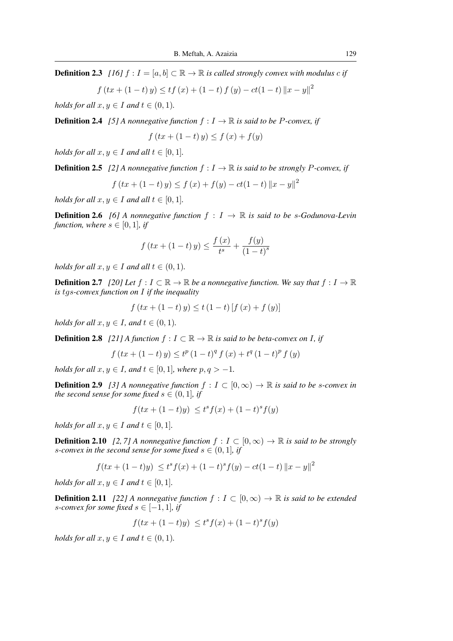**Definition 2.3** *[16]*  $f : I = [a, b] \subset \mathbb{R} \to \mathbb{R}$  *is called strongly convex with modulus c if* 

$$
f(tx + (1-t)y) \le tf(x) + (1-t) f (y) - ct(1-t) ||x - y||2
$$

*holds for all*  $x, y \in I$  *and*  $t \in (0, 1)$ *.* 

**Definition 2.4** *[5] A nonnegative function*  $f: I \to \mathbb{R}$  *is said to be P-convex, if* 

$$
f(tx+(1-t)y) \le f(x) + f(y)
$$

*holds for all*  $x, y \in I$  *and all*  $t \in [0, 1]$ *.* 

**Definition 2.5** [2] A nonnegative function  $f: I \to \mathbb{R}$  is said to be strongly P-convex, if

$$
f(tx + (1-t) y) \le f(x) + f(y) - ct(1-t) ||x - y||2
$$

*holds for all*  $x, y \in I$  *and all*  $t \in [0, 1]$ *.* 

**Definition 2.6** *[6] A nonnegative function*  $f : I \rightarrow \mathbb{R}$  *is said to be s-Godunova-Levin function, where*  $s \in [0, 1]$ *, if* 

$$
f(tx + (1-t)y) \le \frac{f(x)}{t^{s}} + \frac{f(y)}{(1-t)^{s}}
$$

*holds for all*  $x, y \in I$  *and all*  $t \in (0, 1)$ *.* 

**Definition 2.7** *[20] Let*  $f : I \subset \mathbb{R} \to \mathbb{R}$  *be a nonnegative function. We say that*  $f : I \to \mathbb{R}$ *is* tgs*-convex function on* I *if the inequality*

$$
f(tx + (1-t)y) \le t (1-t) [f (x) + f (y)]
$$

*holds for all*  $x, y \in I$ *, and*  $t \in (0, 1)$ *.* 

**Definition 2.8** *[21] A function*  $f: I \subset \mathbb{R} \to \mathbb{R}$  *is said to be beta-convex on I, if* 

$$
f (tx + (1-t) y) \le t^{p} (1-t)^{q} f (x) + t^{q} (1-t)^{p} f (y)
$$

*holds for all*  $x, y \in I$ *, and*  $t \in [0, 1]$ *, where*  $p, q > -1$ *.* 

**Definition 2.9** [3] A nonnegative function  $f : I \subset [0, \infty) \to \mathbb{R}$  is said to be s-convex in *the second sense for some fixed*  $s \in (0, 1]$ *, if* 

$$
f(tx + (1-t)y) \le t^{s} f(x) + (1-t)^{s} f(y)
$$

*holds for all*  $x, y \in I$  *and*  $t \in [0, 1]$ *.* 

**Definition 2.10** *[2, 7] A nonnegative function*  $f : I \subset [0, \infty) \to \mathbb{R}$  *is said to be strongly s*-convex in the second sense for some fixed  $s \in (0, 1]$ , if

$$
f(tx + (1-t)y) \le t^s f(x) + (1-t)^s f(y) - ct(1-t) ||x - y||^2
$$

*holds for all*  $x, y \in I$  *and*  $t \in [0, 1]$ *.* 

**Definition 2.11** *[22] A nonnegative function*  $f : I \subset [0,\infty) \to \mathbb{R}$  *is said to be extended s*-convex for some fixed  $s \in [-1, 1]$ , if

$$
f(tx + (1-t)y) \le t^s f(x) + (1-t)^s f(y)
$$

*holds for all*  $x, y \in I$  *and*  $t \in (0, 1)$ *.*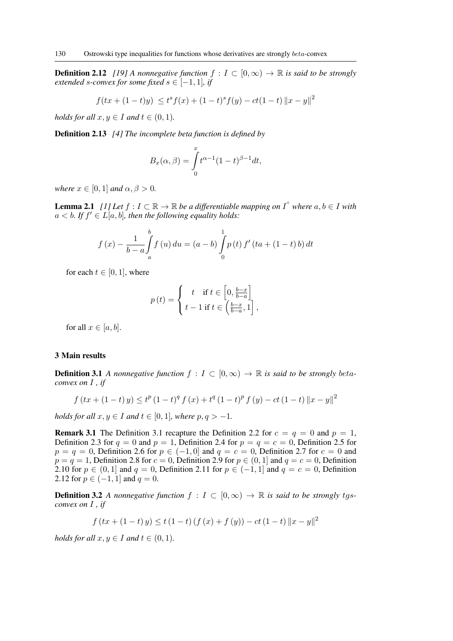**Definition 2.12** *[19] A nonnegative function*  $f : I \subset [0, \infty) \to \mathbb{R}$  *is said to be strongly extended s-convex for some fixed*  $s \in [-1, 1]$ *, if* 

$$
f(tx + (1-t)y) \le t^s f(x) + (1-t)^s f(y) - ct(1-t) ||x - y||^2
$$

*holds for all*  $x, y \in I$  *and*  $t \in (0, 1)$ *.* 

Definition 2.13 *[4] The incomplete beta function is defined by*

$$
B_x(\alpha, \beta) = \int_0^x t^{\alpha - 1} (1 - t)^{\beta - 1} dt,
$$

*where*  $x \in [0, 1]$  *and*  $\alpha, \beta > 0$ *.* 

**Lemma 2.1** [1] Let  $f: I \subset \mathbb{R} \to \mathbb{R}$  be a differentiable mapping on  $I^{\circ}$  where  $a, b \in I$  with  $a < b$ . If  $f' \in L[a, b]$ , then the following equality holds:

$$
f(x) - \frac{1}{b-a} \int_{a}^{b} f(u) du = (a - b) \int_{0}^{1} p(t) f'(ta + (1 - t) b) dt
$$

for each  $t \in [0, 1]$ , where

$$
p(t) = \begin{cases} t & \text{if } t \in \left[0, \frac{b-x}{b-a}\right] \\ t-1 & \text{if } t \in \left(\frac{b-x}{b-a}, 1\right], \end{cases}
$$

for all  $x \in [a, b]$ .

#### 3 Main results

**Definition 3.1** *A nonnegative function*  $f : I \subset [0, \infty) \to \mathbb{R}$  *is said to be strongly betaconvex on* I *, if*

$$
f(tx+(1-t)y) \le t^p (1-t)^q f (x) + t^q (1-t)^p f (y) - ct (1-t) ||x-y||^2
$$

*holds for all*  $x, y \in I$  *and*  $t \in [0, 1]$ *, where*  $p, q > -1$ *.* 

**Remark 3.1** The Definition 3.1 recapture the Definition 2.2 for  $c = q = 0$  and  $p = 1$ , Definition 2.3 for  $q = 0$  and  $p = 1$ , Definition 2.4 for  $p = q = c = 0$ , Definition 2.5 for  $p = q = 0$ , Definition 2.6 for  $p \in (-1, 0]$  and  $q = c = 0$ , Definition 2.7 for  $c = 0$  and  $p = q = 1$ , Definition 2.8 for  $c = 0$ , Definition 2.9 for  $p \in (0, 1]$  and  $q = c = 0$ , Definition 2.10 for  $p \in (0, 1]$  and  $q = 0$ , Definition 2.11 for  $p \in (-1, 1]$  and  $q = c = 0$ , Definition 2.12 for  $p \in (-1, 1]$  and  $q = 0$ .

**Definition 3.2** *A nonnegative function*  $f : I \subset [0, \infty) \to \mathbb{R}$  *is said to be strongly tgsconvex on* I *, if*

$$
f(tx+(1-t)y) \le t(1-t)(f(x)+f(y)) - ct(1-t) ||x-y||^2
$$

*holds for all*  $x, y \in I$  *and*  $t \in (0, 1)$ *.*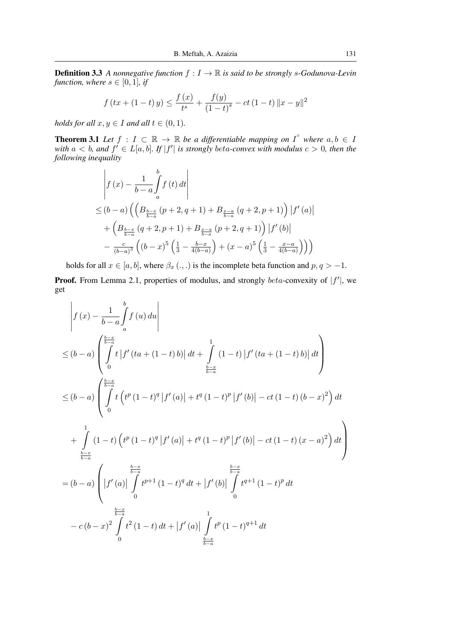**Definition 3.3** *A nonnegative function*  $f: I \to \mathbb{R}$  *is said to be strongly s-Godunova-Levin function, where*  $s \in [0, 1]$ *, if* 

$$
f(tx + (1-t)y) \le \frac{f(x)}{t^{s}} + \frac{f(y)}{(1-t)^{s}} - ct(1-t) \|x - y\|^{2}
$$

*holds for all*  $x, y \in I$  *and all*  $t \in (0, 1)$ *.* 

**Theorem 3.1** Let  $f : I \subset \mathbb{R} \to \mathbb{R}$  be a differentiable mapping on  $I^{\circ}$  where  $a, b \in I$ with  $a < b$ , and  $f' \in L[a, b]$ . If  $|f'|$  is strongly beta-convex with modulus  $c > 0$ , then the *following inequality*

$$
\begin{aligned}\n&\left| f(x) - \frac{1}{b-a} \int_{a}^{b} f(t) dt \right| \\
&\leq (b-a) \left( \left( B_{\frac{b-x}{b-a}}(p+2, q+1) + B_{\frac{x-a}{b-a}}(q+2, p+1) \right) |f'(a)| \right. \\
&+ \left( B_{\frac{b-x}{b-a}}(q+2, p+1) + B_{\frac{x-a}{b-a}}(p+2, q+1) \right) |f'(b)| \\
&- \frac{c}{(b-a)^3} \left( (b-x)^5 \left( \frac{1}{3} - \frac{b-x}{4(b-a)} \right) + (x-a)^5 \left( \frac{1}{3} - \frac{x-a}{4(b-a)} \right) \right)\n\end{aligned}
$$

holds for all  $x \in [a, b]$ , where  $\beta_x (.,.)$  is the incomplete beta function and  $p, q > -1$ .

**Proof.** From Lemma 2.1, properties of modulus, and strongly  $beta$ -convexity of  $|f'|$ , we get

$$
\begin{split}\n&\left|f\left(x\right)-\frac{1}{b-a}\int_{a}^{b}f\left(u\right)du\right| \\
&\leq(b-a)\left(\int_{0}^{\frac{b-x}{b-a}}t\left|f'\left(ta+\left(1-t\right)b\right)\right|dt+\int_{\frac{b-x}{b-a}}^{1}\left(1-t\right)\left|f'\left(ta+\left(1-t\right)b\right)\right|dt\right) \\
&\leq(b-a)\left(\int_{0}^{\frac{b-x}{b-a}}t\left(t^{p}\left(1-t\right)^{q}\left|f'\left(a\right)\right|+t^{q}\left(1-t\right)^{p}\left|f'\left(b\right)\right|-ct\left(1-t\right)\left(b-x\right)^{2}\right)dt\right. \\
&+\int_{\frac{b-x}{b-a}}^{1}\left(1-t\right)\left(t^{p}\left(1-t\right)^{q}\left|f'\left(a\right)\right|+t^{q}\left(1-t\right)^{p}\left|f'\left(b\right)\right|-ct\left(1-t\right)\left(x-a\right)^{2}\right)dt\right) \\
&=\left(b-a\right)\left(\left|f'\left(a\right)\right|\int_{0}^{\frac{b-x}{b-a}}t^{p+1}\left(1-t\right)^{q}dt+\left|f'\left(b\right)\right|\int_{0}^{\frac{b-x}{b-a}}t^{q+1}\left(1-t\right)^{p}dt\right. \\
&\left.-c\left(b-x\right)^{2}\int_{0}^{t^{2}}t^{2}\left(1-t\right)dt+\left|f'\left(a\right)\right|\int_{\frac{b-x}{b-a}}^{1}t^{p}\left(1-t\right)^{q+1}dt\n\end{split}
$$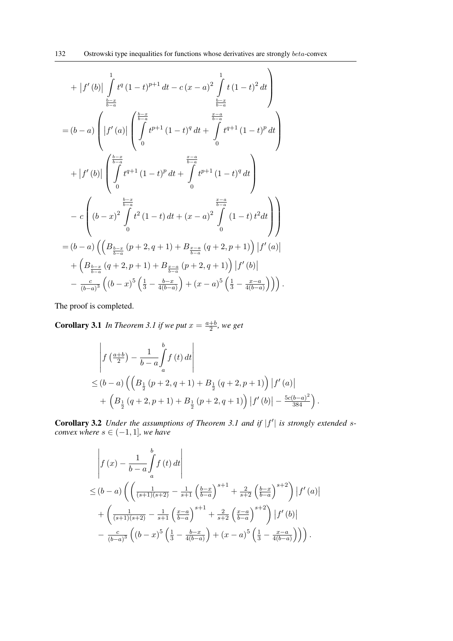$$
+ |f'(b)| \int_{\frac{b-x}{b-a}}^{1} t^{q} (1-t)^{p+1} dt - c (x-a)^{2} \int_{\frac{b-x}{b-a}}^{1} t (1-t)^{2} dt
$$
\n
$$
= (b-a) \left( |f'(a)| \left( \int_{0}^{\frac{b-x}{b-a}} t^{p+1} (1-t)^{q} dt + \int_{0}^{\frac{x-a}{b-a}} t^{q+1} (1-t)^{p} dt \right) \right)
$$
\n
$$
+ |f'(b)| \left( \int_{0}^{\frac{b-x}{b-a}} t^{q+1} (1-t)^{p} dt + \int_{0}^{\frac{x-a}{b-a}} t^{p+1} (1-t)^{q} dt \right)
$$
\n
$$
- c \left( (b-x)^{2} \int_{0}^{\frac{b-x}{b-a}} t^{2} (1-t) dt + (x-a)^{2} \int_{0}^{\frac{x-a}{b-a}} (1-t) t^{2} dt \right)
$$
\n
$$
= (b-a) \left( \left( B_{\frac{b-x}{b-a}} (p+2, q+1) + B_{\frac{x-a}{b-a}} (q+2, p+1) \right) |f'(a)|
$$
\n
$$
+ \left( B_{\frac{b-x}{b-a}} (q+2, p+1) + B_{\frac{x-a}{b-a}} (p+2, q+1) \right) |f'(b)|
$$
\n
$$
- \frac{c}{(b-a)^{3}} \left( (b-x)^{5} \left( \frac{1}{3} - \frac{b-x}{4(b-a)} \right) + (x-a)^{5} \left( \frac{1}{3} - \frac{x-a}{4(b-a)} \right) \right) \right).
$$

The proof is completed.

**Corollary 3.1** In Theorem 3.1 if we put  $x = \frac{a+b}{2}$  $\frac{+b}{2}$ , we get

$$
\begin{aligned}\n&\left| f\left(\frac{a+b}{2}\right) - \frac{1}{b-a} \int_{a}^{b} f\left(t\right) dt \right| \\
&\leq (b-a) \left( \left( B_{\frac{1}{2}}\left( p+2, q+1 \right) + B_{\frac{1}{2}}\left( q+2, p+1 \right) \right) \left| f'\left(a\right) \right| \right. \\
&\left. + \left( B_{\frac{1}{2}}\left( q+2, p+1 \right) + B_{\frac{1}{2}}\left( p+2, q+1 \right) \right) \left| f'\left(b\right) \right| - \frac{5c(b-a)^2}{384} \right). \n\end{aligned}
$$

Corollary 3.2 *Under the assumptions of Theorem 3.1 and if*  $|f'|$  *is strongly extended sconvex where*  $s \in (-1, 1]$ *, we have* 

$$
\begin{split}\n&\left| f(x) - \frac{1}{b-a} \int_{a}^{b} f(t) dt \right| \\
&\leq (b-a) \left( \left( \frac{1}{(s+1)(s+2)} - \frac{1}{s+1} \left( \frac{b-x}{b-a} \right)^{s+1} + \frac{2}{s+2} \left( \frac{b-x}{b-a} \right)^{s+2} \right) \left| f'(a) \right| \right. \\
&+ \left( \frac{1}{(s+1)(s+2)} - \frac{1}{s+1} \left( \frac{x-a}{b-a} \right)^{s+1} + \frac{2}{s+2} \left( \frac{x-a}{b-a} \right)^{s+2} \right) \left| f'(b) \right| \\
&- \frac{c}{(b-a)^3} \left( (b-x)^5 \left( \frac{1}{3} - \frac{b-x}{4(b-a)} \right) + (x-a)^5 \left( \frac{1}{3} - \frac{x-a}{4(b-a)} \right) \right) \right).\n\end{split}
$$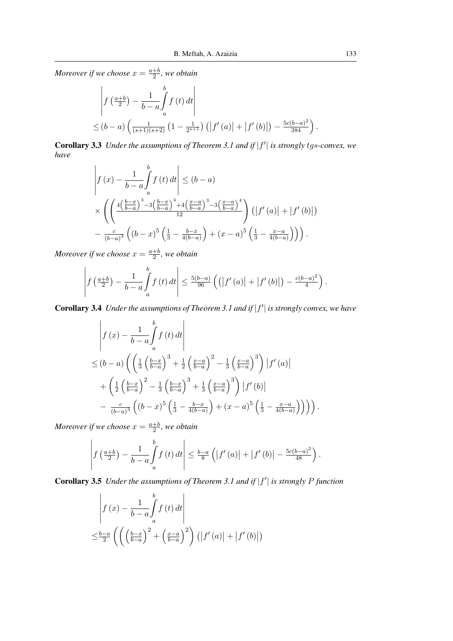$$
\begin{aligned}\n&\left| f\left(\frac{a+b}{2}\right) - \frac{1}{b-a} \int_{a}^{b} f\left(t\right) dt \right| \\
&\leq (b-a) \left( \frac{1}{(s+1)(s+2)} \left(1 - \frac{1}{2^{s+1}}\right) \left( \left| f'(a) \right| + \left| f'(b) \right| \right) - \frac{5c(b-a)^2}{384} \right).\n\end{aligned}
$$

Corollary 3.3 Under the assumptions of Theorem 3.1 and if  $|f'|$  is strongly tgs-convex, we *have*

$$
\left| f(x) - \frac{1}{b-a} \int_{a}^{b} f(t) dt \right| \le (b-a)
$$
  
\$\times \left( \left( \frac{4\left(\frac{b-x}{b-a}\right)^3 - 3\left(\frac{b-x}{b-a}\right)^4 + 4\left(\frac{x-a}{b-a}\right)^3 - 3\left(\frac{x-a}{b-a}\right)^4}{12} \right) \left( \left| f'(a) \right| + \left| f'(b) \right| \right) - \frac{c}{(b-a)^3} \left( (b-x)^5 \left( \frac{1}{3} - \frac{b-x}{4(b-a)} \right) + (x-a)^5 \left( \frac{1}{3} - \frac{x-a}{4(b-a)} \right) \right) \right).

*Moreover if we choose*  $x = \frac{a+b}{2}$  $\frac{+b}{2}$ , we obtain

$$
\left| f\left(\frac{a+b}{2}\right) - \frac{1}{b-a} \int_a^b f\left(t\right) dt \right| \leq \frac{5(b-a)}{96} \left( \left( \left| f'\left(a\right) \right| + \left| f'\left(b\right) \right| \right) - \frac{c(b-a)^2}{4} \right).
$$

Corollary 3.4 Under the assumptions of Theorem 3.1 and if  $|f'|$  is strongly convex, we have

$$
\begin{split}\n&\left|f\left(x\right)-\frac{1}{b-a}\int_{a}^{b}f\left(t\right)dt\right| \\
&\leq (b-a)\left(\left(\frac{1}{3}\left(\frac{b-x}{b-a}\right)^{3}+\frac{1}{2}\left(\frac{x-a}{b-a}\right)^{2}-\frac{1}{3}\left(\frac{x-a}{b-a}\right)^{3}\right)\left|f'\left(a\right)\right|\right. \\
&+\left(\frac{1}{2}\left(\frac{b-x}{b-a}\right)^{2}-\frac{1}{3}\left(\frac{b-x}{b-a}\right)^{3}+\frac{1}{3}\left(\frac{x-a}{b-a}\right)^{3}\right)\left|f'\left(b\right)\right| \\
&-\frac{c}{(b-a)^{3}}\left(\left(b-x\right)^{5}\left(\frac{1}{3}-\frac{b-x}{4(b-a)}\right)+\left(x-a\right)^{5}\left(\frac{1}{3}-\frac{x-a}{4(b-a)}\right)\right)\right)\right).\n\end{split}
$$

*Moreover if we choose*  $x = \frac{a+b}{2}$  $\frac{+b}{2}$ , we obtain

$$
\left| f\left(\frac{a+b}{2}\right) - \frac{1}{b-a} \int_a^b f\left(t\right) dt \right| \leq \frac{b-a}{8} \left( \left| f'\left(a\right) \right| + \left| f'\left(b\right) \right| - \frac{5c(b-a)^2}{48} \right).
$$

Corollary 3.5 Under the assumptions of Theorem 3.1 and if  $|f'|$  is strongly P function

$$
\left| f(x) - \frac{1}{b-a} \int_{a}^{b} f(t) dt \right|
$$
  

$$
\leq \frac{b-a}{2} \left( \left( \left( \frac{b-x}{b-a} \right)^2 + \left( \frac{x-a}{b-a} \right)^2 \right) \left( \left| f'(a) \right| + \left| f'(b) \right| \right) \right)
$$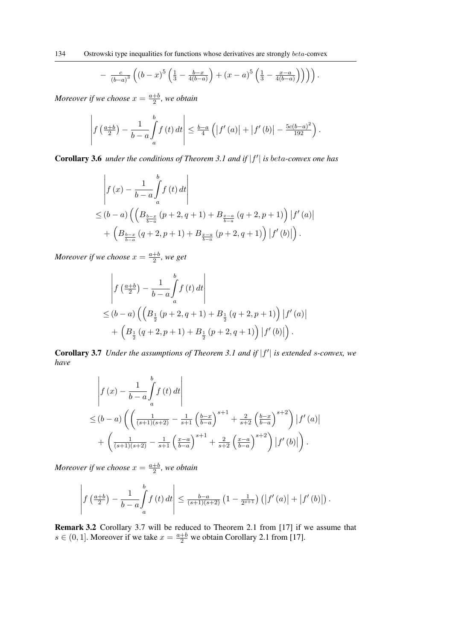$$
- \frac{c}{(b-a)^3} \left( (b-x)^5 \left( \frac{1}{3} - \frac{b-x}{4(b-a)} \right) + (x-a)^5 \left( \frac{1}{3} - \frac{x-a}{4(b-a)} \right) \right) \right).
$$

$$
\left| f\left(\frac{a+b}{2}\right) - \frac{1}{b-a} \int_a^b f\left(t\right) dt \right| \leq \frac{b-a}{4} \left( \left| f'\left(a\right) \right| + \left| f'\left(b\right) \right| - \frac{5c(b-a)^2}{192} \right).
$$

Corollary 3.6 *under the conditions of Theorem 3.1 and if*  $|f'|$  *is beta-convex one has* 

$$
\begin{aligned}\n&\left| f(x) - \frac{1}{b-a} \int_{a}^{b} f(t) dt \right| \\
&\leq (b-a) \left( \left( B_{\frac{b-x}{b-a}}(p+2, q+1) + B_{\frac{x-a}{b-a}}(q+2, p+1) \right) | f'(a) | \right. \\
&+ \left( B_{\frac{b-x}{b-a}}(q+2, p+1) + B_{\frac{x-a}{b-a}}(p+2, q+1) \right) | f'(b) | \right).\n\end{aligned}
$$

*Moreover if we choose*  $x = \frac{a+b}{2}$  $\frac{+b}{2}$ , we get

$$
\begin{aligned}\n&\left| f\left(\frac{a+b}{2}\right) - \frac{1}{b-a} \int_{a}^{b} f\left(t\right) dt \right| \\
&\leq (b-a) \left( \left( B_{\frac{1}{2}}\left(p+2, q+1\right) + B_{\frac{1}{2}}\left(q+2, p+1\right) \right) \left| f'\left(a\right) \right| + \left( B_{\frac{1}{2}}\left(q+2, p+1\right) + B_{\frac{1}{2}}\left(p+2, q+1\right) \right) \left| f'\left(b\right) \right| \right).\n\end{aligned}
$$

Corollary 3.7 Under the assumptions of Theorem 3.1 and if  $|f'|$  is extended s-convex, we *have*

$$
\begin{split} & \left| f\left(x\right) - \frac{1}{b-a} \int_{a}^{b} f\left(t\right) dt \right| \\ &\leq (b-a) \left( \left( \frac{1}{(s+1)(s+2)} - \frac{1}{s+1} \left( \frac{b-x}{b-a} \right)^{s+1} + \frac{2}{s+2} \left( \frac{b-x}{b-a} \right)^{s+2} \right) \left| f'\left(a\right) \right| \\ &+ \left( \frac{1}{(s+1)(s+2)} - \frac{1}{s+1} \left( \frac{x-a}{b-a} \right)^{s+1} + \frac{2}{s+2} \left( \frac{x-a}{b-a} \right)^{s+2} \right) \left| f'\left(b\right) \right| \right). \end{split}
$$

*Moreover if we choose*  $x = \frac{a+b}{2}$  $\frac{+b}{2}$ , we obtain

$$
\left| f\left(\frac{a+b}{2}\right) - \frac{1}{b-a} \int_a^b f\left(t\right) dt \right| \leq \frac{b-a}{(s+1)(s+2)} \left(1 - \frac{1}{2^{s+1}}\right) \left( \left| f'\left(a\right) \right| + \left| f'\left(b\right) \right| \right).
$$

Remark 3.2 Corollary 3.7 will be reduced to Theorem 2.1 from [17] if we assume that  $s \in (0, 1]$ . Moreover if we take  $x = \frac{a+b}{2}$  we obtain Corollary 2.1 from [17].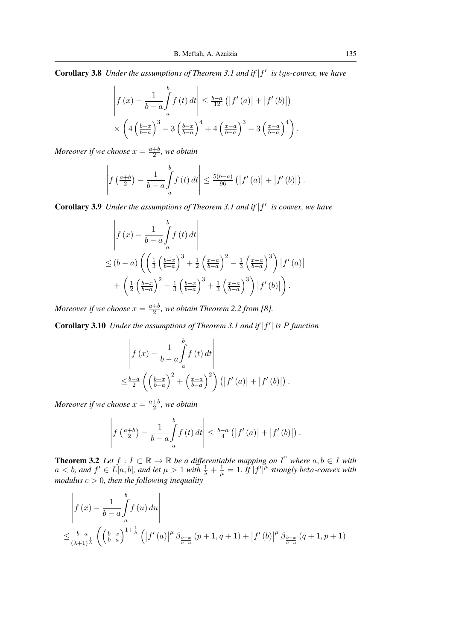Corollary 3.8 Under the assumptions of Theorem 3.1 and if  $|f'|$  is tgs-convex, we have

$$
\left| f(x) - \frac{1}{b-a} \int_a^b f(t) dt \right| \leq \frac{b-a}{12} \left( \left| f'(a) \right| + \left| f'(b) \right| \right)
$$

$$
\times \left( 4 \left( \frac{b-x}{b-a} \right)^3 - 3 \left( \frac{b-x}{b-a} \right)^4 + 4 \left( \frac{x-a}{b-a} \right)^3 - 3 \left( \frac{x-a}{b-a} \right)^4 \right).
$$

*Moreover if we choose*  $x = \frac{a+b}{2}$  $\frac{+b}{2}$ , we obtain

$$
\left| f\left(\frac{a+b}{2}\right) - \frac{1}{b-a} \int_a^b f\left(t\right) dt \right| \leq \frac{5(b-a)}{96} \left( \left| f'\left(a\right) \right| + \left| f'\left(b\right) \right| \right).
$$

**Corollary 3.9** *Under the assumptions of Theorem 3.1 and if*  $|f'|$  *is convex, we have* 

$$
\begin{aligned}\n\left| f(x) - \frac{1}{b-a} \int_a^b f(t) dt \right| \\
\leq (b-a) \left( \left( \frac{1}{3} \left( \frac{b-x}{b-a} \right)^3 + \frac{1}{2} \left( \frac{x-a}{b-a} \right)^2 - \frac{1}{3} \left( \frac{x-a}{b-a} \right)^3 \right) \left| f'(a) \right| \right. \\
&+ \left( \frac{1}{2} \left( \frac{b-x}{b-a} \right)^2 - \frac{1}{3} \left( \frac{b-x}{b-a} \right)^3 + \frac{1}{3} \left( \frac{x-a}{b-a} \right)^3 \right) \left| f'(b) \right| \right).\n\end{aligned}
$$

*Moreover if we choose*  $x = \frac{a+b}{2}$  $\frac{+b}{2}$ , we obtain Theorem 2.2 from [8].

Corollary 3.10 *Under the assumptions of Theorem 3.1 and if*  $|f'|$  *is P function* 

$$
\begin{aligned}\n\left| f(x) - \frac{1}{b-a} \int_a^b f(t) dt \right| \\
\leq & \frac{b-a}{2} \left( \left( \frac{b-x}{b-a} \right)^2 + \left( \frac{x-a}{b-a} \right)^2 \right) \left( \left| f'(a) \right| + \left| f'(b) \right| \right).\n\end{aligned}
$$

*Moreover if we choose*  $x = \frac{a+b}{2}$  $\frac{+b}{2}$ , we obtain

$$
\left| f\left(\frac{a+b}{2}\right) - \frac{1}{b-a} \int\limits_a^b f\left(t\right) dt \right| \leq \frac{b-a}{4} \left( \left| f'\left(a\right) \right| + \left| f'\left(b\right) \right| \right).
$$

**Theorem 3.2** Let  $f: I \subset \mathbb{R} \to \mathbb{R}$  be a differentiable mapping on  $I^{\circ}$  where  $a, b \in I$  with  $a < b$ , and  $f' \in L[a, b]$ , and let  $\mu > 1$  with  $\frac{1}{\lambda} + \frac{1}{\mu}$  $\frac{1}{\mu} = 1$ . If  $|f'|^{\mu}$  strongly beta-convex with *modulus* c > 0*, then the following inequality*

$$
\begin{aligned}\n\left| f(x) - \frac{1}{b-a} \int_{a}^{b} f(u) \, du \right| \\
\leq & \frac{b-a}{(\lambda+1)^{\frac{1}{\lambda}}} \left( \left( \frac{b-x}{b-a} \right)^{1+\frac{1}{\lambda}} \left( \left| f'(a) \right|^{\mu} \beta_{\frac{b-x}{b-a}} (p+1, q+1) + \left| f'(b) \right|^{\mu} \beta_{\frac{b-x}{b-a}} (q+1, p+1) \right.\n\end{aligned}
$$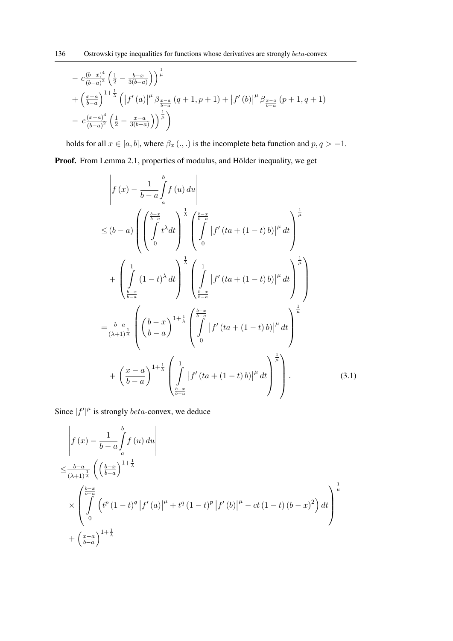$$
- c \frac{(b-x)^4}{(b-a)^2} \left(\frac{1}{2} - \frac{b-x}{3(b-a)}\right)^{\frac{1}{\mu}}
$$
  
+  $\left(\frac{x-a}{b-a}\right)^{1+\frac{1}{\lambda}} \left(\left|f'(a)\right|^{\mu} \beta_{\frac{x-a}{b-a}} (q+1, p+1) + \left|f'(b)\right|^{\mu} \beta_{\frac{x-a}{b-a}} (p+1, q+1)$   
-  $c \frac{(x-a)^4}{(b-a)^2} \left(\frac{1}{2} - \frac{x-a}{3(b-a)}\right)^{\frac{1}{\mu}}$ 

holds for all  $x \in [a, b]$ , where  $\beta_x (.,.)$  is the incomplete beta function and  $p, q > -1$ .

Proof. From Lemma 2.1, properties of modulus, and Hölder inequality, we get

$$
\begin{split}\n&\left| f(x) - \frac{1}{b-a} \int_{a}^{b} f(u) du \right| \\
&\leq (b-a) \left( \left( \int_{0}^{\frac{b-x}{b-a}} t^{\lambda} dt \right)^{\frac{1}{\lambda}} \left( \int_{0}^{\frac{b-x}{b-a}} \left| f'(ta + (1-t) b) \right|^{\mu} dt \right)^{\frac{1}{\mu}} \right. \\
&+ \left( \int_{\frac{b-x}{b-a}}^{1} (1-t)^{\lambda} dt \right)^{\frac{1}{\lambda}} \left( \int_{\frac{b-x}{b-a}}^{1} \left| f'(ta + (1-t) b) \right|^{\mu} dt \right)^{\frac{1}{\mu}} \right) \\
&= \frac{b-a}{(\lambda+1)^{\frac{1}{\lambda}}} \left( \left( \frac{b-x}{b-a} \right)^{1+\frac{1}{\lambda}} \left( \int_{0}^{\frac{b-x}{b-a}} \left| f'(ta + (1-t) b) \right|^{\mu} dt \right)^{\frac{1}{\mu}} \right. \\
&+ \left( \frac{x-a}{b-a} \right)^{1+\frac{1}{\lambda}} \left( \int_{\frac{b-x}{b-a}}^{1} \left| f'(ta + (1-t) b) \right|^{\mu} dt \right)^{\frac{1}{\mu}} \right). \n\end{split} \tag{3.1}
$$

Since  $|f'|^{\mu}$  is strongly *beta*-convex, we deduce

$$
\int f(x) - \frac{1}{b-a} \int_{a}^{b} f(u) du
$$
\n
$$
\leq \frac{b-a}{(\lambda+1)^{\frac{1}{\lambda}}} \left( \left( \frac{b-x}{b-a} \right)^{1+\frac{1}{\lambda}} \right)
$$
\n
$$
\times \int_{0}^{\frac{b-x}{b-a}} \left( t^{p} (1-t)^{q} |f'(a)|^{\mu} + t^{q} (1-t)^{p} |f'(b)|^{\mu} - ct (1-t) (b-x)^{2} \right) dt
$$
\n
$$
+ \left( \frac{x-a}{b-a} \right)^{1+\frac{1}{\lambda}}
$$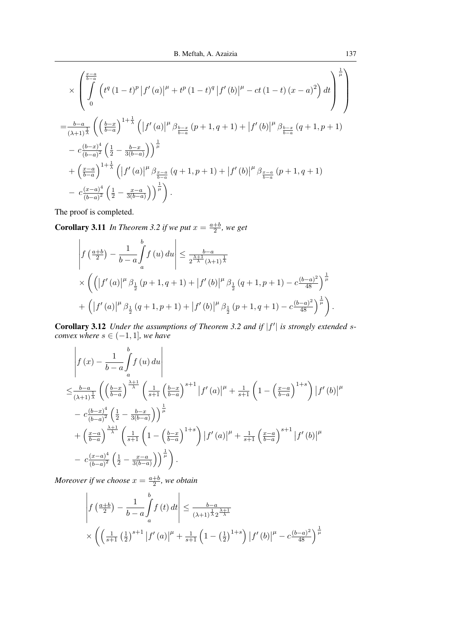$$
\times \left( \int_{0}^{\frac{x-a}{b-a}} \left( t^{q} (1-t)^{p} |f'(a)|^{\mu} + t^{p} (1-t)^{q} |f'(b)|^{\mu} - ct (1-t) (x-a)^{2} \right) dt \right)^{\frac{1}{\mu}}
$$
  
\n
$$
= \frac{b-a}{(\lambda+1)^{\frac{1}{\lambda}}} \left( \left( \frac{b-x}{b-a} \right)^{1+\frac{1}{\lambda}} \left( |f'(a)|^{\mu} \beta_{\frac{b-x}{b-a}} (p+1, q+1) + |f'(b)|^{\mu} \beta_{\frac{b-x}{b-a}} (q+1, p+1) \right) - c \frac{(b-x)^{4}}{(b-a)^{2}} \left( \frac{1}{2} - \frac{b-x}{3(b-a)} \right) \right)^{\frac{1}{\mu}}
$$
  
\n
$$
+ \left( \frac{x-a}{b-a} \right)^{1+\frac{1}{\lambda}} \left( |f'(a)|^{\mu} \beta_{\frac{x-a}{b-a}} (q+1, p+1) + |f'(b)|^{\mu} \beta_{\frac{x-a}{b-a}} (p+1, q+1) - c \frac{(x-a)^{4}}{(b-a)^{2}} \left( \frac{1}{2} - \frac{x-a}{3(b-a)} \right) \right)^{\frac{1}{\mu}}.
$$

The proof is completed.

**Corollary 3.11** In Theorem 3.2 if we put  $x = \frac{a+b}{2}$  $\frac{+b}{2}$ , we get

$$
\begin{split}\n\left| f\left(\frac{a+b}{2}\right) - \frac{1}{b-a} \int_{a}^{b} f\left(u\right) du \right| &\leq \frac{b-a}{2^{\frac{\lambda+1}{\lambda}} (\lambda+1)^{\frac{1}{\lambda}}} \\
&\times \left( \left( \left| f'\left(a\right) \right|^{\mu} \beta_{\frac{1}{2}} \left( p+1, q+1 \right) + \left| f'\left(b\right) \right|^{\mu} \beta_{\frac{1}{2}} \left( q+1, p+1 \right) - c \frac{\left(b-a\right)^{2}}{48} \right)^{\frac{1}{\mu}} \right. \\
&\quad \left. + \left( \left| f'\left(a\right) \right|^{\mu} \beta_{\frac{1}{2}} \left( q+1, p+1 \right) + \left| f'\left(b\right) \right|^{\mu} \beta_{\frac{1}{2}} \left( p+1, q+1 \right) - c \frac{\left(b-a\right)^{2}}{48} \right)^{\frac{1}{\mu}} \right). \n\end{split}
$$

Corollary 3.12 *Under the assumptions of Theorem 3.2 and if*  $|f'|$  *is strongly extended sconvex where*  $s \in (-1, 1]$ *, we have* 

$$
\begin{split}\n&\left|f\left(x\right)-\frac{1}{b-a}\int_{a}^{b}f\left(u\right)du\right| \\
&\leq \frac{b-a}{\left(\lambda+1\right)^{\frac{1}{\lambda}}}\left(\left(\frac{b-x}{b-a}\right)^{\frac{\lambda+1}{\lambda}}\left(\frac{1}{s+1}\left(\frac{b-x}{b-a}\right)^{s+1}\left|f'\left(a\right)\right|^{\mu}+\frac{1}{s+1}\left(1-\left(\frac{x-a}{b-a}\right)^{1+s}\right)\left|f'\left(b\right)\right|^{\mu} \right.\\ &\left.-c\frac{\left(b-x\right)^{4}}{\left(b-a\right)^{2}}\left(\frac{1}{2}-\frac{b-x}{3(b-a)}\right)\right)^{\frac{1}{\mu}} \\
&+\left(\frac{x-a}{b-a}\right)^{\frac{\lambda+1}{\lambda}}\left(\frac{1}{s+1}\left(1-\left(\frac{b-x}{b-a}\right)^{1+s}\right)\left|f'\left(a\right)\right|^{\mu}+\frac{1}{s+1}\left(\frac{x-a}{b-a}\right)^{s+1}\left|f'\left(b\right)\right|^{\mu} \right.\\ &\left.-c\frac{\left(x-a\right)^{4}}{\left(b-a\right)^{2}}\left(\frac{1}{2}-\frac{x-a}{3(b-a)}\right)\right)^{\frac{1}{\mu}}\right).\n\end{split}
$$

*Moreover if we choose*  $x = \frac{a+b}{2}$  $\frac{+b}{2}$ , we obtain

$$
\left| f\left(\frac{a+b}{2}\right) - \frac{1}{b-a} \int_a^b f(t) dt \right| \le \frac{b-a}{(\lambda+1)^{\frac{1}{\lambda}} 2^{\frac{\lambda+1}{\lambda}}}
$$
  
 
$$
\times \left( \left( \frac{1}{s+1} \left( \frac{1}{2} \right)^{s+1} \left| f'(a) \right|^\mu + \frac{1}{s+1} \left( 1 - \left( \frac{1}{2} \right)^{1+s} \right) \left| f'(b) \right|^\mu - c \frac{(b-a)^2}{48} \right)^{\frac{1}{\mu}}
$$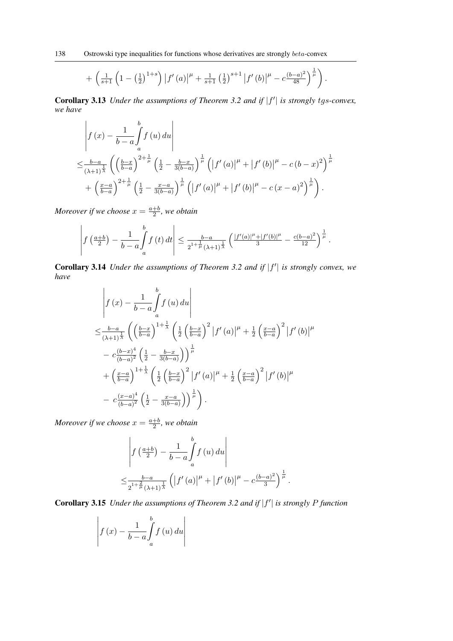$$
+\left(\frac{1}{s+1}\left(1-\left(\frac{1}{2}\right)^{1+s}\right)\left|f'(a)\right|^{\mu}+\frac{1}{s+1}\left(\frac{1}{2}\right)^{s+1}\left|f'(b)\right|^{\mu}-c\frac{(b-a)^2}{48}\right)^{\frac{1}{\mu}}\right).
$$

Corollary 3.13 *Under the assumptions of Theorem 3.2 and if*  $|f'|$  *is strongly tgs-convex, we have*

$$
\begin{split}\n&\left| f(x) - \frac{1}{b-a} \int_{a}^{b} f(u) \, du \right| \\
&\leq \frac{b-a}{(\lambda+1)^{\frac{1}{\lambda}}} \left( \left( \frac{b-x}{b-a} \right)^{2 + \frac{1}{\mu}} \left( \frac{1}{2} - \frac{b-x}{3(b-a)} \right)^{\frac{1}{\mu}} \left( |f'(a)|^{\mu} + |f'(b)|^{\mu} - c(b-x)^2 \right)^{\frac{1}{\mu}} \\
&+ \left( \frac{x-a}{b-a} \right)^{2 + \frac{1}{\mu}} \left( \frac{1}{2} - \frac{x-a}{3(b-a)} \right)^{\frac{1}{\mu}} \left( |f'(a)|^{\mu} + |f'(b)|^{\mu} - c(x-a)^2 \right)^{\frac{1}{\mu}} \right).\n\end{split}
$$

*Moreover if we choose*  $x = \frac{a+b}{2}$  $\frac{+b}{2}$ , we obtain

$$
\left| f\left(\frac{a+b}{2}\right) - \frac{1}{b-a} \int_a^b f\left(t\right) dt \right| \leq \frac{b-a}{2^{1+\frac{1}{\mu}}(\lambda+1)^{\frac{1}{\lambda}}} \left( \frac{|f'(a)|^{\mu} + |f'(b)|^{\mu}}{3} - \frac{c(b-a)^2}{12} \right)^{\frac{1}{\mu}}.
$$

Corollary 3.14 *Under the assumptions of Theorem 3.2 and if*  $|f'|$  *is strongly convex, we have*

$$
\begin{split}\n&\left| f(x) - \frac{1}{b-a} \int_{a}^{b} f(u) \, du \right| \\
&\leq \frac{b-a}{(\lambda+1)^{\frac{1}{\lambda}}} \left( \left( \frac{b-x}{b-a} \right)^{1+\frac{1}{\lambda}} \left( \frac{1}{2} \left( \frac{b-x}{b-a} \right)^{2} \left| f'(a) \right|^{\mu} + \frac{1}{2} \left( \frac{x-a}{b-a} \right)^{2} \left| f'(b) \right|^{\mu} \right. \\
&\left. - c \frac{(b-x)^{4}}{(b-a)^{2}} \left( \frac{1}{2} - \frac{b-x}{3(b-a)} \right) \right)^{\frac{1}{\mu}} \\
&+ \left( \frac{x-a}{b-a} \right)^{1+\frac{1}{\lambda}} \left( \frac{1}{2} \left( \frac{b-x}{b-a} \right)^{2} \left| f'(a) \right|^{\mu} + \frac{1}{2} \left( \frac{x-a}{b-a} \right)^{2} \left| f'(b) \right|^{\mu} \right. \\
&\left. - c \frac{(x-a)^{4}}{(b-a)^{2}} \left( \frac{1}{2} - \frac{x-a}{3(b-a)} \right) \right)^{\frac{1}{\mu}} \right). \n\end{split}
$$

*Moreover if we choose*  $x = \frac{a+b}{2}$  $\frac{+b}{2}$ , we obtain

$$
\left| f\left(\frac{a+b}{2}\right) - \frac{1}{b-a} \int_a^b f(u) \, du \right|
$$
  

$$
\leq \frac{b-a}{2^{1+\frac{2}{\mu}}(\lambda+1)^{\frac{1}{\lambda}}} \left( \left| f'(a) \right|^\mu + \left| f'(b) \right|^\mu - c \frac{(b-a)^2}{3} \right)^{\frac{1}{\mu}}.
$$

Corollary 3.15 *Under the assumptions of Theorem 3.2 and if*  $|f'|$  is strongly P function

$$
\left| f(x) - \frac{1}{b-a} \int_{a}^{b} f(u) \, du \right|
$$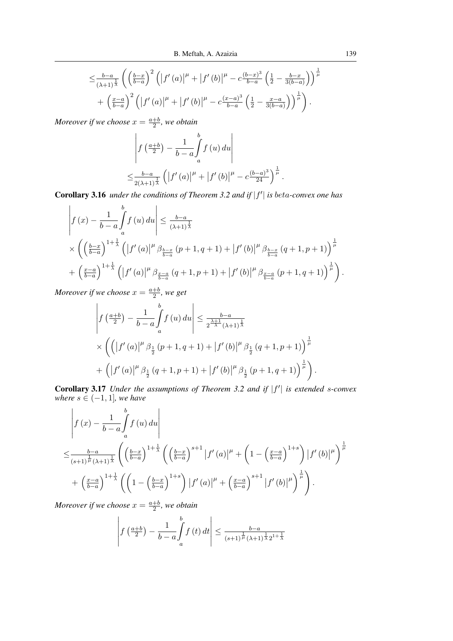$$
\leq \frac{b-a}{(\lambda+1)^{\frac{1}{\lambda}}} \left( \left( \frac{b-x}{b-a} \right)^2 \left( \left| f'(a) \right|^{\mu} + \left| f'(b) \right|^{\mu} - c \frac{(b-x)^3}{b-a} \left( \frac{1}{2} - \frac{b-x}{3(b-a)} \right) \right)^{\frac{1}{\mu}} + \left( \frac{x-a}{b-a} \right)^2 \left( \left| f'(a) \right|^{\mu} + \left| f'(b) \right|^{\mu} - c \frac{(x-a)^3}{b-a} \left( \frac{1}{2} - \frac{x-a}{3(b-a)} \right) \right)^{\frac{1}{\mu}} \right).
$$

$$
\begin{aligned}\n\left| f\left(\frac{a+b}{2}\right) - \frac{1}{b-a} \int_a^b f\left(u\right) du \right| \\
\leq &\frac{b-a}{2(\lambda+1)^{\frac{1}{\lambda}}} \left( \left| f'\left(a\right) \right|^{\mu} + \left| f'\left(b\right) \right|^{\mu} - c \frac{(b-a)^3}{24} \right)^{\frac{1}{\mu}}.\n\end{aligned}
$$

Corollary 3.16 *under the conditions of Theorem 3.2 and if*  $|f'|$  *is beta-convex one has* 

$$
\left| f(x) - \frac{1}{b-a} \int_{a}^{b} f(u) du \right| \leq \frac{b-a}{(\lambda+1)^{\frac{1}{\lambda}}} \times \left( \left( \frac{b-x}{b-a} \right)^{1+\frac{1}{\lambda}} \left( \left| f'(a) \right|^{\mu} \beta_{\frac{b-x}{b-a}} (p+1, q+1) + \left| f'(b) \right|^{\mu} \beta_{\frac{b-x}{b-a}} (q+1, p+1) \right)^{\frac{1}{\mu}} + \left( \frac{x-a}{b-a} \right)^{1+\frac{1}{\lambda}} \left( \left| f'(a) \right|^{\mu} \beta_{\frac{x-a}{b-a}} (q+1, p+1) + \left| f'(b) \right|^{\mu} \beta_{\frac{x-a}{b-a}} (p+1, q+1) \right)^{\frac{1}{\mu}} \right).
$$

*Moreover if we choose*  $x = \frac{a+b}{2}$  $\frac{+b}{2}$ , we get

$$
\left| f\left(\frac{a+b}{2}\right) - \frac{1}{b-a} \int_{a}^{b} f\left(u\right) du \right| \leq \frac{b-a}{2^{\frac{\lambda+1}{\lambda}} (\lambda+1)^{\frac{1}{\lambda}}} \times \left( \left( \left| f'\left(a\right) \right|^{\mu} \beta_{\frac{1}{2}} \left( p+1, q+1 \right) + \left| f'\left(b\right) \right|^{\mu} \beta_{\frac{1}{2}} \left( q+1, p+1 \right) \right)^{\frac{1}{\mu}} + \left( \left| f'\left(a\right) \right|^{\mu} \beta_{\frac{1}{2}} \left( q+1, p+1 \right) + \left| f'\left(b\right) \right|^{\mu} \beta_{\frac{1}{2}} \left( p+1, q+1 \right) \right)^{\frac{1}{\mu}} \right).
$$

Corollary 3.17 *Under the assumptions of Theorem 3.2 and if*  $|f'|$  is extended s-convex *where*  $s \in (-1, 1]$ *, we have* 

$$
\begin{split}\n&\left|f\left(x\right)-\frac{1}{b-a}\int_{a}^{b}f\left(u\right)du\right| \\
&\leq \frac{b-a}{\left(s+1\right)^{\frac{1}{\mu}\left(\lambda+1\right)^{\frac{1}{\lambda}}}}\left(\left(\frac{b-x}{b-a}\right)^{1+\frac{1}{\lambda}}\left(\left(\frac{b-x}{b-a}\right)^{s+1}\left|f'\left(a\right)\right|^{\mu}+\left(1-\left(\frac{x-a}{b-a}\right)^{1+s}\right)\left|f'\left(b\right)\right|^{\mu}\right)^{\frac{1}{\mu}} \\
&+\left(\frac{x-a}{b-a}\right)^{1+\frac{1}{\lambda}}\left(\left(1-\left(\frac{b-x}{b-a}\right)^{1+s}\right)\left|f'\left(a\right)\right|^{\mu}+\left(\frac{x-a}{b-a}\right)^{s+1}\left|f'\left(b\right)\right|^{\mu}\right)^{\frac{1}{\mu}}\right).\n\end{split}
$$

*Moreover if we choose*  $x = \frac{a+b}{2}$  $\frac{+b}{2}$ , we obtain

$$
\left| f\left(\frac{a+b}{2}\right) - \frac{1}{b-a} \int\limits_{a}^{b} f\left(t\right) dt \right| \leq \frac{b-a}{(s+1)^{\frac{1}{\mu}} (\lambda+1)^{\frac{1}{\lambda}} 2^{1+\frac{1}{\lambda}}}
$$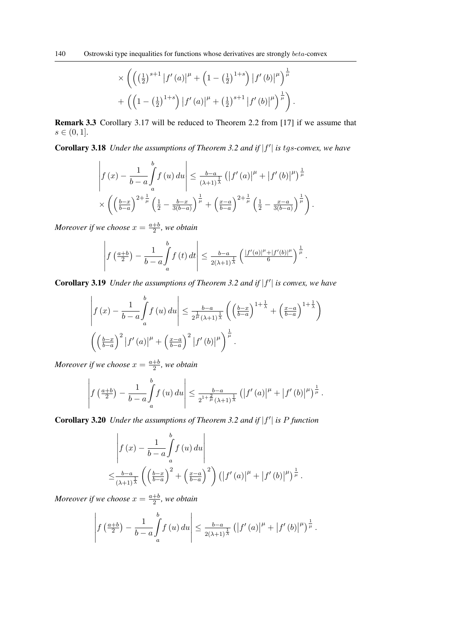$$
\times \left( \left( \left( \frac{1}{2} \right)^{s+1} \left| f'(a) \right|^{\mu} + \left( 1 - \left( \frac{1}{2} \right)^{1+s} \right) \left| f'(b) \right|^{\mu} \right)^{\frac{1}{\mu}} + \left( \left( 1 - \left( \frac{1}{2} \right)^{1+s} \right) \left| f'(a) \right|^{\mu} + \left( \frac{1}{2} \right)^{s+1} \left| f'(b) \right|^{\mu} \right)^{\frac{1}{\mu}} \right).
$$

Remark 3.3 Corollary 3.17 will be reduced to Theorem 2.2 from [17] if we assume that  $s \in (0, 1].$ 

Corollary 3.18 *Under the assumptions of Theorem 3.2 and if*  $|f'|$  is tgs-convex, we have

$$
\left| f(x) - \frac{1}{b-a} \int_{a}^{b} f(u) \, du \right| \leq \frac{b-a}{(\lambda+1)^{\frac{1}{\lambda}}} \left( \left| f'(a) \right|^{\mu} + \left| f'(b) \right|^{\mu} \right)^{\frac{1}{\mu}} \times \left( \left( \frac{b-x}{b-a} \right)^{2+\frac{1}{\mu}} \left( \frac{1}{2} - \frac{b-x}{3(b-a)} \right)^{\frac{1}{\mu}} + \left( \frac{x-a}{b-a} \right)^{2+\frac{1}{\mu}} \left( \frac{1}{2} - \frac{x-a}{3(b-a)} \right)^{\frac{1}{\mu}} \right).
$$

*Moreover if we choose*  $x = \frac{a+b}{2}$  $\frac{+b}{2}$ , we obtain

$$
\left| f\left(\frac{a+b}{2}\right) - \frac{1}{b-a} \int_a^b f\left(t\right) dt \right| \leq \frac{b-a}{2(\lambda+1)^{\frac{1}{\lambda}}} \left( \frac{|f'(a)|^{\mu} + |f'(b)|^{\mu}}{6} \right)^{\frac{1}{\mu}}.
$$

Corollary 3.19 *Under the assumptions of Theorem 3.2 and if*  $|f'|$  *is convex, we have* 

$$
\left| f(x) - \frac{1}{b-a} \int_a^b f(u) du \right| \leq \frac{b-a}{2^{\frac{1}{\mu}} (\lambda+1)^{\frac{1}{\lambda}}} \left( \left( \frac{b-x}{b-a} \right)^{1+\frac{1}{\lambda}} + \left( \frac{x-a}{b-a} \right)^{1+\frac{1}{\lambda}} \right)
$$

$$
\left( \left( \frac{b-x}{b-a} \right)^2 \left| f'(a) \right|^\mu + \left( \frac{x-a}{b-a} \right)^2 \left| f'(b) \right|^\mu \right)^{\frac{1}{\mu}}.
$$

*Moreover if we choose*  $x = \frac{a+b}{2}$  $\frac{+b}{2}$ , we obtain

$$
\left| f\left(\frac{a+b}{2}\right) - \frac{1}{b-a} \int_a^b f(u) \, du \right| \leq \frac{b-a}{2^{1+\frac{2}{\mu}}(\lambda+1)^{\frac{1}{\lambda}}} \left( \left| f'(a) \right|^{\mu} + \left| f'(b) \right|^{\mu} \right)^{\frac{1}{\mu}}.
$$

Corollary 3.20 *Under the assumptions of Theorem 3.2 and if*  $|f'|$  *is P function* 

$$
\left| f(x) - \frac{1}{b-a} \int_a^b f(u) du \right|
$$
  

$$
\leq \frac{b-a}{(\lambda+1)^{\frac{1}{\lambda}}} \left( \left( \frac{b-x}{b-a} \right)^2 + \left( \frac{x-a}{b-a} \right)^2 \right) \left( \left| f'(a) \right|^\mu + \left| f'(b) \right|^\mu \right)^\frac{1}{\mu}.
$$

*Moreover if we choose*  $x = \frac{a+b}{2}$  $\frac{+b}{2}$ , we obtain

$$
\left| f\left(\frac{a+b}{2}\right) - \frac{1}{b-a} \int\limits_a^b f\left(u\right) du \right| \leq \frac{b-a}{2(\lambda+1)^{\frac{1}{\lambda}}} \left( \left| f'\left(a\right) \right|^{\mu} + \left| f'\left(b\right) \right|^{\mu} \right)^{\frac{1}{\mu}}.
$$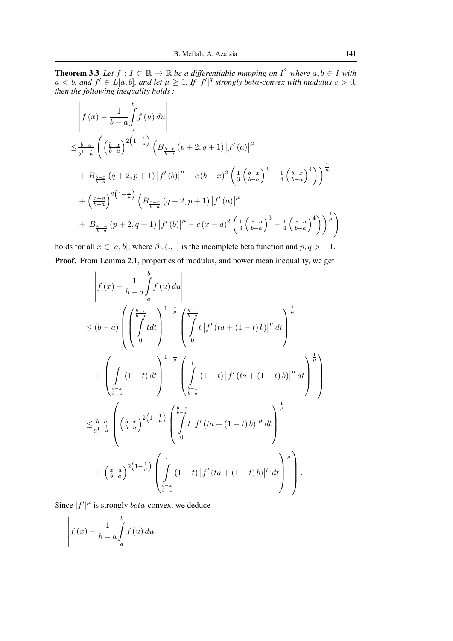**Theorem 3.3** Let  $f: I \subset \mathbb{R} \to \mathbb{R}$  be a differentiable mapping on  $I^{\circ}$  where  $a, b \in I$  with  $a < b$ , and  $f' \in L[a, b]$ , and let  $\mu \geq 1$ . If  $\int_{a}^{b} f'^{\vert q}$  strongly beta-convex with modulus  $c > 0$ , *then the following inequality holds :*

$$
\begin{split}\n&\left|f\left(x\right)-\frac{1}{b-a}\int_{a}^{b}f\left(u\right)du\right| \\
&\leq \frac{b-a}{2^{1-\frac{1}{\mu}}}\left(\left(\frac{b-x}{b-a}\right)^{2\left(1-\frac{1}{\mu}\right)}\left(B_{\frac{b-x}{b-a}}\left(p+2,q+1\right)\left|f'\left(a\right)\right|^{\mu} \right. \\
&\left. +\left.\frac{B_{\frac{b-x}{b-a}}}{b-a}\left(q+2,p+1\right)\left|f'\left(b\right)\right|^{\mu}-c\left(b-x\right)^{2}\left(\frac{1}{3}\left(\frac{b-x}{b-a}\right)^{3}-\frac{1}{4}\left(\frac{b-x}{b-a}\right)^{4}\right)\right)^{\frac{1}{\mu}}\right. \\
&+\left(\frac{x-a}{b-a}\right)^{2\left(1-\frac{1}{\mu}\right)}\left(B_{\frac{x-a}{b-a}}\left(q+2,p+1\right)\left|f'\left(a\right)\right|^{\mu} \right. \\
&\left. +\left.\frac{B_{\frac{x-a}{b-a}}}{b-a}\left(p+2,q+1\right)\left|f'\left(b\right)\right|^{\mu}-c\left(x-a\right)^{2}\left(\frac{1}{3}\left(\frac{x-a}{b-a}\right)^{3}-\frac{1}{4}\left(\frac{x-a}{b-a}\right)^{4}\right)\right)^{\frac{1}{\mu}}\right)\n\end{split}
$$

holds for all  $x \in [a, b]$ , where  $\beta_x (.,.)$  is the incomplete beta function and  $p, q > -1$ . Proof. From Lemma 2.1, properties of modulus, and power mean inequality, we get

$$
\begin{split}\n&\left|f\left(x\right)-\frac{1}{b-a}\int_{a}^{b}f\left(u\right)du\right| \\
&\leq(b-a)\left(\left(\int\limits_{0}^{\frac{b-x}{b-a}}tdt\right)^{1-\frac{1}{\mu}}\left(\int\limits_{0}^{\frac{b-x}{b-a}}t\left|f'\left(ta+\left(1-t\right)b\right)\right|^{\mu}dt\right)^{\frac{1}{\mu}}\right) \\
&+\left(\int\limits_{\frac{b-x}{b-a}}^{1}\left(1-t\right)dt\right)^{1-\frac{1}{\mu}}\left(\int\limits_{\frac{b-x}{b-a}}^{1}\left(1-t\right)\left|f'\left(ta+\left(1-t\right)b\right)\right|^{\mu}dt\right)^{\frac{1}{\mu}}\right) \\
&\leq\frac{b-a}{2^{1-\frac{1}{\mu}}}\left(\left(\frac{b-x}{b-a}\right)^{2\left(1-\frac{1}{\mu}\right)}\left(\int\limits_{0}^{\frac{b-x}{b-a}}t\left|f'\left(ta+\left(1-t\right)b\right)\right|^{\mu}dt\right) \\
&+\left(\frac{x-a}{b-a}\right)^{2\left(1-\frac{1}{\mu}\right)}\left(\int\limits_{\frac{b-x}{b-a}}^{1}\left(1-t\right)\left|f'\left(ta+\left(1-t\right)b\right)\right|^{\mu}dt\right)^{\frac{1}{\mu}}\right).\n\end{split}
$$

Since  $|f'|^{\mu}$  is strongly *beta*-convex, we deduce

$$
\left| f(x) - \frac{1}{b-a} \int_{a}^{b} f(u) \, du \right|
$$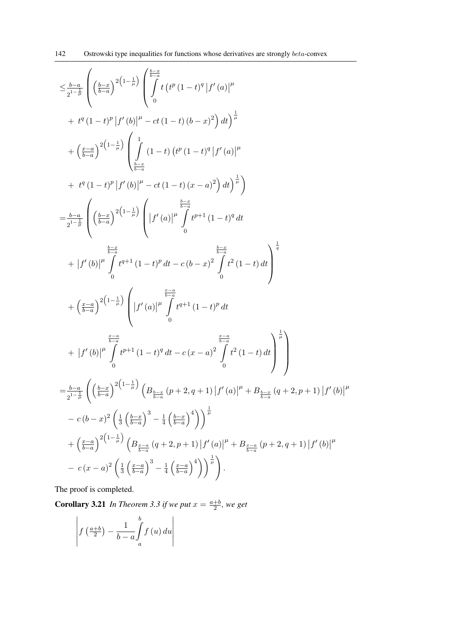$$
\leq \frac{b-a}{2^{1-\frac{1}{\mu}}}\left(\left(\frac{b-x}{b-a}\right)^{2\left(1-\frac{1}{\mu}\right)}\left(\frac{\frac{b-x}{b-a}}{\theta}\right)^{2\left(1-\frac{1}{\mu}\right)}\left(\frac{\frac{b-x}{b-a}}{\theta}\right)^{2\left(1-\frac{1}{\mu}\right)}\left(\frac{b-x}{b-a}\right)^{2\left(1-\frac{1}{\mu}\right)}\left(\frac{1}{\theta}\left(1-t\right)\left(t^{p}\left(1-t\right)^{q}\left|f^{\prime}\left(a\right)\right|\right)^{\mu}+\left(\frac{x-a}{b-a}\right)^{2\left(1-\frac{1}{\mu}\right)}\left(\frac{1}{\frac{b-a}{b-a}}\left(1-t\right)\left(t^{p}\left(1-t\right)^{q}\left|f^{\prime}\left(a\right)\right|\right)^{\mu}\right)\right)
$$
\n
$$
= \frac{b-a}{2^{1-\frac{1}{\mu}}}\left(\left(\frac{b-x}{b-a}\right)^{2\left(1-\frac{1}{\mu}\right)}\left(\left|f^{\prime}\left(a\right)\right|\right)^{\mu}\left(\frac{\frac{b-x}{b-a}}{\theta}\right)^{\mu}\right)
$$
\n
$$
= \frac{b-a}{2^{1-\frac{1}{\mu}}}\left(\left(\frac{b-x}{b-a}\right)^{2\left(1-\frac{1}{\mu}\right)}\left(\left|f^{\prime}\left(a\right)\right|\right)^{\mu}\left(\frac{\frac{b-x}{b-a}}{\theta}\right)^{\mu+1}\left(1-t\right)^{q}dt\right)
$$
\n
$$
+ \left|f^{\prime}\left(b\right)\right|^{\mu}\int_{0}^{t}t^{q+1}\left(1-t\right)^{p}dt-c\left(b-x\right)^{2}\int_{0}^{t}t^{2}\left(1-t\right)dt\right)^{\frac{1}{q}}
$$
\n
$$
+ \left|\frac{f^{\prime}\left(b\right)}{\left(b-a\right)}\right|^{\mu}\left(\left|f^{\prime}\left(a\right)\right|\right)^{\mu}\left(\frac{t^{q+1}}{b-a}t-c\left(x-a\right)^{2}\int_{0}^{t-2}t^{2}\left(1-t\right)dt\right)^{\frac{1}{p}}
$$
\n
$$
= \frac{b-a}{2^{1-\frac{1}{\mu}}}\left(\left(\frac{b-x}{b-a}\right)^{2\
$$

The proof is completed.

**Corollary 3.21** In Theorem 3.3 if we put  $x = \frac{a+b}{2}$  $\frac{+b}{2}$ , we get

$$
\left| f\left(\frac{a+b}{2}\right) - \frac{1}{b-a} \int\limits_{a}^{b} f\left(u\right) du \right|
$$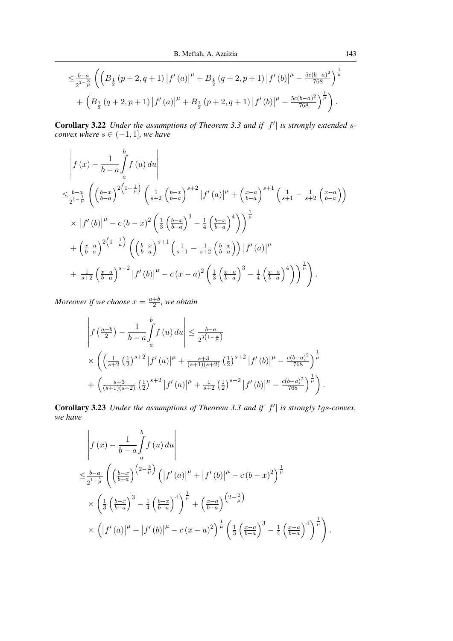$$
\leq \frac{b-a}{2^{3-\frac{3}{\mu}}} \left( \left( B_{\frac{1}{2}} \left( p+2, q+1 \right) \left| f'(a) \right|^{\mu} + B_{\frac{1}{2}} \left( q+2, p+1 \right) \left| f'(b) \right|^{\mu} - \frac{5c(b-a)^2}{768} \right)^{\frac{1}{\mu}} + \left( B_{\frac{1}{2}} \left( q+2, p+1 \right) \left| f'(a) \right|^{\mu} + B_{\frac{1}{2}} \left( p+2, q+1 \right) \left| f'(b) \right|^{\mu} - \frac{5c(b-a)^2}{768} \right)^{\frac{1}{\mu}} \right).
$$

Corollary 3.22 *Under the assumptions of Theorem 3.3 and if*  $|f'|$  *is strongly extended sconvex where*  $s \in (-1, 1]$ *, we have* 

$$
\begin{split}\n&\left|f\left(x\right)-\frac{1}{b-a}\int_{a}^{b}f\left(u\right)du\right| \\
&\leq \frac{b-a}{2^{1-\frac{1}{\mu}}}\left(\left(\frac{b-x}{b-a}\right)^{2\left(1-\frac{1}{\mu}\right)}\left(\frac{1}{s+2}\left(\frac{b-x}{b-a}\right)^{s+2}\left|f'\left(a\right)\right|^{\mu}+\left(\frac{x-a}{b-a}\right)^{s+1}\left(\frac{1}{s+1}-\frac{1}{s+2}\left(\frac{x-a}{b-a}\right)\right)\right)\right.\n\end{split}
$$
\n
$$
\times\left|f'\left(b\right)\right|^{\mu}-c\left(b-x\right)^{2}\left(\frac{1}{3}\left(\frac{b-x}{b-a}\right)^{3}-\frac{1}{4}\left(\frac{b-x}{b-a}\right)^{4}\right)\right)^{\frac{1}{\mu}}
$$
\n
$$
+\left(\frac{x-a}{b-a}\right)^{2\left(1-\frac{1}{\mu}\right)}\left(\left(\frac{b-x}{b-a}\right)^{s+1}\left(\frac{1}{s+1}-\frac{1}{s+2}\left(\frac{b-x}{b-a}\right)\right)\left|f'\left(a\right)\right|^{\mu}
$$
\n
$$
+\frac{1}{s+2}\left(\frac{x-a}{b-a}\right)^{s+2}\left|f'\left(b\right)\right|^{\mu}-c\left(x-a\right)^{2}\left(\frac{1}{3}\left(\frac{x-a}{b-a}\right)^{3}-\frac{1}{4}\left(\frac{x-a}{b-a}\right)^{4}\right)\right)^{\frac{1}{\mu}}\right).
$$

*Moreover if we choose*  $x = \frac{a+b}{2}$  $\frac{+b}{2}$ , we obtain

$$
\left| f\left(\frac{a+b}{2}\right) - \frac{1}{b-a} \int_a^b f\left(u\right) du \right| \le \frac{b-a}{2^{3\left(1 - \frac{1}{\mu}\right)}}
$$
  
\$\times \left( \left( \frac{1}{s+2} \left(\frac{1}{2}\right)^{s+2} \left| f'\left(a\right) \right|^{\mu} + \frac{s+3}{(s+1)(s+2)} \left(\frac{1}{2}\right)^{s+2} \left| f'\left(b\right) \right|^{\mu} - \frac{c(b-a)^2}{768} \right)^{\frac{1}{\mu}}\$  
\$+ \left( \frac{s+3}{(s+1)(s+2)} \left(\frac{1}{2}\right)^{s+2} \left| f'\left(a\right) \right|^{\mu} + \frac{1}{s+2} \left(\frac{1}{2}\right)^{s+2} \left| f'\left(b\right) \right|^{\mu} - \frac{c(b-a)^2}{768} \right)^{\frac{1}{\mu}}\$ \right).

Corollary 3.23 *Under the assumptions of Theorem 3.3 and if*  $|f'|$  *is strongly tgs-convex, we have*

$$
\begin{split}\n&\left|f\left(x\right)-\frac{1}{b-a}\int_{a}^{b}f\left(u\right)du\right| \\
&\leq \frac{b-a}{2^{1-\frac{1}{\mu}}}\left(\left(\frac{b-x}{b-a}\right)^{\left(2-\frac{2}{\mu}\right)}\left(\left|f^{\prime}\left(a\right)\right|^{\mu}+\left|f^{\prime}\left(b\right)\right|^{\mu}-c\left(b-x\right)^{2}\right)^{\frac{1}{\mu}} \\
&\times\left(\frac{1}{3}\left(\frac{b-x}{b-a}\right)^{3}-\frac{1}{4}\left(\frac{b-x}{b-a}\right)^{4}\right)^{\frac{1}{\mu}}+\left(\frac{x-a}{b-a}\right)^{\left(2-\frac{2}{\mu}\right)} \\
&\times\left(\left|f^{\prime}\left(a\right)\right|^{\mu}+\left|f^{\prime}\left(b\right)\right|^{\mu}-c\left(x-a\right)^{2}\right)^{\frac{1}{\mu}}\left(\frac{1}{3}\left(\frac{x-a}{b-a}\right)^{3}-\frac{1}{4}\left(\frac{x-a}{b-a}\right)^{4}\right)^{\frac{1}{\mu}}\right).\n\end{split}
$$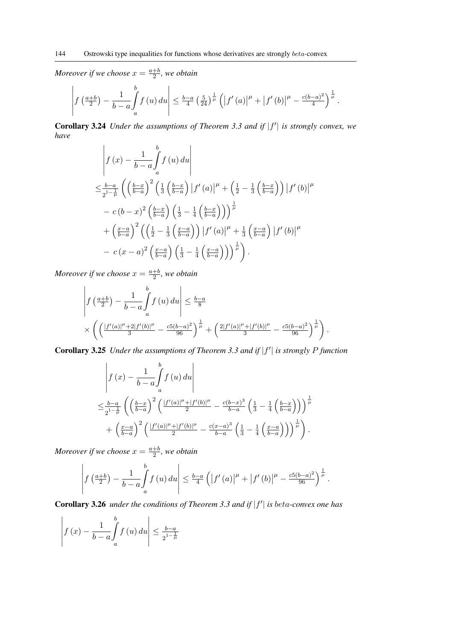$$
\left| f\left(\frac{a+b}{2}\right) - \frac{1}{b-a} \int_a^b f\left(u\right) du \right| \leq \frac{b-a}{4} \left(\frac{5}{24}\right)^{\frac{1}{\mu}} \left( \left| f'\left(a\right) \right|^{\mu} + \left| f'\left(b\right) \right|^{\mu} - \frac{c(b-a)^2}{4} \right)^{\frac{1}{\mu}}.
$$

Corollary 3.24 *Under the assumptions of Theorem 3.3 and if*  $|f'|$  *is strongly convex, we have*

$$
\begin{split}\n&\left|f\left(x\right)-\frac{1}{b-a}\int_{a}^{b}f\left(u\right)du\right| \\
&\leq \frac{b-a}{2^{1-\frac{1}{\mu}}}\left(\left(\frac{b-x}{b-a}\right)^{2}\left(\frac{1}{3}\left(\frac{b-x}{b-a}\right)\left|f'\left(a\right)\right|^{\mu}+\left(\frac{1}{2}-\frac{1}{3}\left(\frac{b-x}{b-a}\right)\right)\left|f'\left(b\right)\right|^{\mu} \\
&-c\left(b-x\right)^{2}\left(\frac{b-x}{b-a}\right)\left(\frac{1}{3}-\frac{1}{4}\left(\frac{b-x}{b-a}\right)\right)\right)^{\frac{1}{\mu}} \\
&+\left(\frac{x-a}{b-a}\right)^{2}\left(\left(\frac{1}{2}-\frac{1}{3}\left(\frac{x-a}{b-a}\right)\right)\left|f'\left(a\right)\right|^{\mu}+\frac{1}{3}\left(\frac{x-a}{b-a}\right)\left|f'\left(b\right)\right|^{\mu} \\
&-c\left(x-a\right)^{2}\left(\frac{x-a}{b-a}\right)\left(\frac{1}{3}-\frac{1}{4}\left(\frac{x-a}{b-a}\right)\right)\right)^{\frac{1}{\mu}}\right).\n\end{split}
$$

*Moreover if we choose*  $x = \frac{a+b}{2}$  $\frac{+b}{2}$ , we obtain

$$
\left| f\left(\frac{a+b}{2}\right) - \frac{1}{b-a} \int_a^b f\left(u\right) du \right| \le \frac{b-a}{8}
$$
  
\$\times \left( \left( \frac{|f'(a)|^{\mu} + 2|f'(b)|^{\mu}}{3} - \frac{c5(b-a)^2}{96} \right)^{\frac{1}{\mu}} + \left( \frac{2|f'(a)|^{\mu} + |f'(b)|^{\mu}}{3} - \frac{c5(b-a)^2}{96} \right)^{\frac{1}{\mu}} \right).

Corollary 3.25 *Under the assumptions of Theorem 3.3 and if*  $|f'|$  is strongly P function

$$
\begin{split}\n&\left|f\left(x\right)-\frac{1}{b-a}\int_{a}^{b}f\left(u\right)du\right| \\
&\leq \frac{b-a}{2^{1-\frac{1}{\mu}}}\left(\left(\frac{b-x}{b-a}\right)^{2}\left(\frac{|f^{\prime}\left(a\right)|^{\mu}+|f^{\prime}\left(b\right)|^{\mu}}{2}-\frac{c(b-x)^{3}}{b-a}\left(\frac{1}{3}-\frac{1}{4}\left(\frac{b-x}{b-a}\right)\right)\right)^{\frac{1}{\mu}}\right.\\&+\left.\left(\frac{x-a}{b-a}\right)^{2}\left(\frac{|f^{\prime}\left(a\right)|^{\mu}+|f^{\prime}\left(b\right)|^{\mu}}{2}-\frac{c(x-a)^{3}}{b-a}\left(\frac{1}{3}-\frac{1}{4}\left(\frac{x-a}{b-a}\right)\right)\right)^{\frac{1}{\mu}}\right). \end{split}
$$

*Moreover if we choose*  $x = \frac{a+b}{2}$  $\frac{+b}{2}$ , we obtain

$$
\left| f\left(\frac{a+b}{2}\right) - \frac{1}{b-a} \int_a^b f\left(u\right) du \right| \leq \frac{b-a}{4} \left( \left| f'\left(a\right) \right|^{\mu} + \left| f'\left(b\right) \right|^{\mu} - \frac{c5(b-a)^2}{96} \right)^{\frac{1}{\mu}}.
$$

Corollary 3.26 *under the conditions of Theorem 3.3 and if*  $|f'|$  *is beta-convex one has* 

$$
\left| f(x) - \frac{1}{b-a} \int_{a}^{b} f(u) \, du \right| \le \frac{b-a}{2^{1-\frac{1}{\mu}}}
$$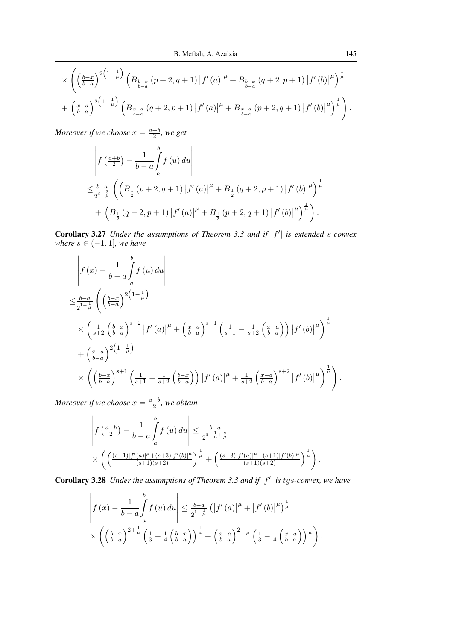$$
\times \left( \left( \frac{b-x}{b-a} \right)^{2\left(1-\frac{1}{\mu}\right)} \left( B_{\frac{b-x}{b-a}} \left( p+2, q+1 \right) \left| f'(a) \right|^{\mu} + B_{\frac{b-x}{b-a}} \left( q+2, p+1 \right) \left| f'(b) \right|^{\mu} \right)^{\frac{1}{\mu}} + \left( \frac{x-a}{b-a} \right)^{2\left(1-\frac{1}{\mu}\right)} \left( B_{\frac{x-a}{b-a}} \left( q+2, p+1 \right) \left| f'(a) \right|^{\mu} + B_{\frac{x-a}{b-a}} \left( p+2, q+1 \right) \left| f'(b) \right|^{\mu} \right)^{\frac{1}{\mu}} \right).
$$

$$
\begin{split} &\left| f\left(\frac{a+b}{2}\right) - \frac{1}{b-a} \int_{a}^{b} f\left(u\right) du \right| \\ &\leq \frac{b-a}{2^{3-\frac{3}{\mu}}} \left( \left( B_{\frac{1}{2}}\left(p+2, q+1\right) \left| f'\left(a\right) \right|^{\mu} + B_{\frac{1}{2}}\left(q+2, p+1\right) \left| f'\left(b\right) \right|^{\mu} \right)^{\frac{1}{\mu}} \\ &+ \left( B_{\frac{1}{2}}\left(q+2, p+1\right) \left| f'\left(a\right) \right|^{\mu} + B_{\frac{1}{2}}\left(p+2, q+1\right) \left| f'\left(b\right) \right|^{\mu} \right)^{\frac{1}{\mu}} \right). \end{split}
$$

Corollary 3.27 *Under the assumptions of Theorem 3.3 and if*  $|f'|$  is extended s-convex *where*  $s \in (-1, 1]$ *, we have* 

$$
\begin{split}\n&\left|f\left(x\right)-\frac{1}{b-a}\int_{a}^{b}f\left(u\right)du\right| \\
&\leq \frac{b-a}{2^{1-\frac{1}{\mu}}}\left(\left(\frac{b-x}{b-a}\right)^{2\left(1-\frac{1}{\mu}\right)}\right. \\
&\times\left(\frac{1}{s+2}\left(\frac{b-x}{b-a}\right)^{s+2}\left|f'\left(a\right)\right|^{\mu}+\left(\frac{x-a}{b-a}\right)^{s+1}\left(\frac{1}{s+1}-\frac{1}{s+2}\left(\frac{x-a}{b-a}\right)\right)\left|f'\left(b\right)\right|^{\mu}\right)^{\frac{1}{\mu}} \\
&+\left(\frac{x-a}{b-a}\right)^{2\left(1-\frac{1}{\mu}\right)}\right. \\
&\times\left(\left(\frac{b-x}{b-a}\right)^{s+1}\left(\frac{1}{s+1}-\frac{1}{s+2}\left(\frac{b-x}{b-a}\right)\right)\left|f'\left(a\right)\right|^{\mu}+\frac{1}{s+2}\left(\frac{x-a}{b-a}\right)^{s+2}\left|f'\left(b\right)\right|^{\mu}\right)^{\frac{1}{\mu}}\right)\n\end{split}
$$

*Moreover if we choose*  $x = \frac{a+b}{2}$  $\frac{+b}{2}$ , we obtain

$$
\left| f\left(\frac{a+b}{2}\right) - \frac{1}{b-a} \int_a^b f(u) \, du \right| \le \frac{b-a}{2^{3-\frac{1}{\mu} + \frac{s}{\mu}}} \times \left( \left( \frac{(s+1)|f'(a)|^{\mu} + (s+3)|f'(b)|^{\mu}}{(s+1)(s+2)} \right)^{\frac{1}{\mu}} + \left( \frac{(s+3)|f'(a)|^{\mu} + (s+1)|f'(b)|^{\mu}}{(s+1)(s+2)} \right)^{\frac{1}{\mu}} \right).
$$

Corollary 3.28 *Under the assumptions of Theorem 3.3 and if*  $|f'|$  is tgs-convex, we have

$$
\left| f(x) - \frac{1}{b-a} \int_a^b f(u) du \right| \leq \frac{b-a}{2^{1-\frac{1}{\mu}}} \left( \left| f'(a) \right|^\mu + \left| f'(b) \right|^\mu \right)^{\frac{1}{\mu}}
$$

$$
\times \left( \left( \frac{b-x}{b-a} \right)^{2+\frac{1}{\mu}} \left( \frac{1}{3} - \frac{1}{4} \left( \frac{b-x}{b-a} \right) \right)^{\frac{1}{\mu}} + \left( \frac{x-a}{b-a} \right)^{2+\frac{1}{\mu}} \left( \frac{1}{3} - \frac{1}{4} \left( \frac{x-a}{b-a} \right) \right)^{\frac{1}{\mu}} \right).
$$

.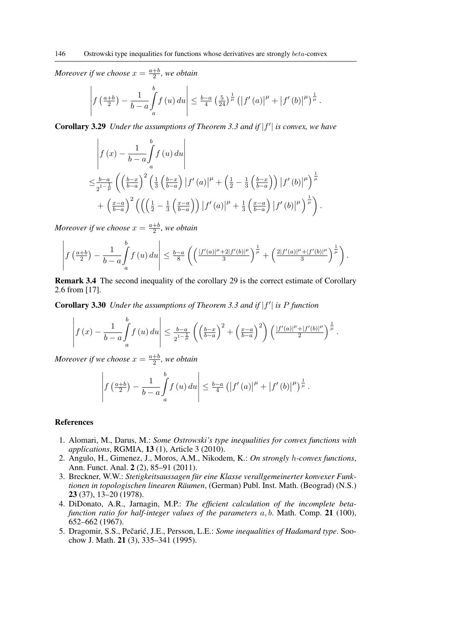$$
\left| f\left(\frac{a+b}{2}\right) - \frac{1}{b-a} \int\limits_a^b f\left(u\right) du \right| \leq \frac{b-a}{4} \left(\frac{5}{24}\right)^{\frac{1}{\mu}} \left( \left| f'\left(a\right) \right|^{\mu} + \left| f'\left(b\right) \right|^{\mu} \right)^{\frac{1}{\mu}}.
$$

Corollary 3.29 *Under the assumptions of Theorem 3.3 and if*  $|f'|$  *is convex, we have* 

$$
\begin{split}\n&\left|f\left(x\right)-\frac{1}{b-a}\int_{a}^{b}f\left(u\right)du\right| \\
&\leq \frac{b-a}{2^{1-\frac{1}{\mu}}}\left(\left(\frac{b-x}{b-a}\right)^{2}\left(\frac{1}{3}\left(\frac{b-x}{b-a}\right)\left|f'\left(a\right)\right|^{\mu}+\left(\frac{1}{2}-\frac{1}{3}\left(\frac{b-x}{b-a}\right)\right)\left|f'\left(b\right)\right|^{\mu}\right)^{\frac{1}{\mu}} \\
&+\left(\frac{x-a}{b-a}\right)^{2}\left(\left(\left(\frac{1}{2}-\frac{1}{3}\left(\frac{x-a}{b-a}\right)\right)\left|f'\left(a\right)\right|^{\mu}+\frac{1}{3}\left(\frac{x-a}{b-a}\right)\left|f'\left(b\right)\right|^{\mu}\right)^{\frac{1}{\mu}}\right).\n\end{split}
$$

*Moreover if we choose*  $x = \frac{a+b}{2}$  $\frac{+b}{2}$ , we obtain

$$
\left| f\left(\frac{a+b}{2}\right) - \frac{1}{b-a} \int_a^b f\left(u\right) du \right| \leq \frac{b-a}{8} \left( \left( \frac{|f'(a)|^{\mu} + 2|f'(b)|^{\mu}}{3} \right)^{\frac{1}{\mu}} + \left( \frac{2|f'(a)|^{\mu} + |f'(b)|^{\mu}}{3} \right)^{\frac{1}{\mu}} \right).
$$

Remark 3.4 The second inequality of the corollary 29 is the correct estimate of Corollary 2.6 from [17].

Corollary 3.30 *Under the assumptions of Theorem 3.3 and if*  $|f'|$  *is P function* 

$$
\left| f(x) - \frac{1}{b-a} \int_a^b f(u) \, du \right| \leq \frac{b-a}{2^{1-\frac{1}{\mu}}} \left( \left( \frac{b-x}{b-a} \right)^2 + \left( \frac{x-a}{b-a} \right)^2 \right) \left( \frac{|f'(a)|^{\mu} + |f'(b)|^{\mu}}{2} \right)^{\frac{1}{\mu}}.
$$

*Moreover if we choose*  $x = \frac{a+b}{2}$  $\frac{+b}{2}$ , we obtain

$$
\left| f\left(\frac{a+b}{2}\right) - \frac{1}{b-a} \int_a^b f\left(u\right) du \right| \leq \frac{b-a}{4} \left( \left| f'\left(a\right) \right|^\mu + \left| f'\left(b\right) \right|^\mu \right)^\frac{1}{\mu}.
$$

### References

- 1. Alomari, M., Darus, M.: *Some Ostrowski's type inequalities for convex functions with applications*, RGMIA, 13 (1), Article 3 (2010).
- 2. Angulo, H., Gimenez, J., Moros, A.M., Nikodem, K.: *On strongly* h*-convex functions*, Ann. Funct. Anal. 2 (2), 85–91 (2011).
- 3. Breckner, W.W.: *Stetigkeitsaussagen fur eine Klasse verallgemeinerter konvexer Funk- ¨ tionen in topologischen linearen Räumen*, (German) Publ. Inst. Math. (Beograd) (N.S.) 23 (37), 13–20 (1978).
- 4. DiDonato, A.R., Jarnagin, M.P.: *The efficient calculation of the incomplete betafunction ratio for half-integer values of the parameters* a, b. Math. Comp. 21 (100), 652–662 (1967).
- 5. Dragomir, S.S., Pečarić, J.E., Persson, L.E.: *Some inequalities of Hadamard type*. Soochow J. Math. 21 (3), 335–341 (1995).